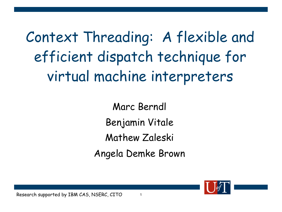Context Threading: A flexible and efficient dispatch technique for virtual machine interpreters

> Marc Berndl Benjamin Vitale Mathew Zaleski Angela Demke Brown

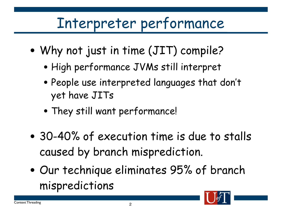## Interpreter performance

- Why not just in time (JIT) compile?
	- High performance JVMs still interpret
	- People use interpreted languages that don't yet have JITs
	- They still want performance!
- 30-40% of execution time is due to stalls caused by branch misprediction.
- Our technique eliminates 95% of branch mispredictions

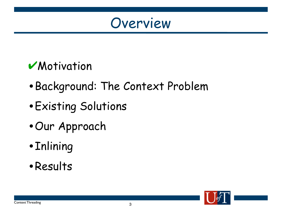

#### **V**Motivation

- •Background: The Context Problem
- •Existing Solutions
- •Our Approach
- •Inlining
- •Results



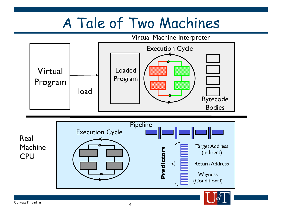# A Tale of Two Machines

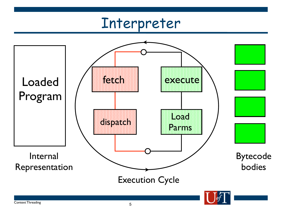### Interpreter

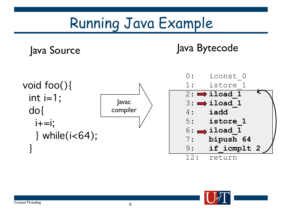# Running Java Example

Java Source Java Bytecode



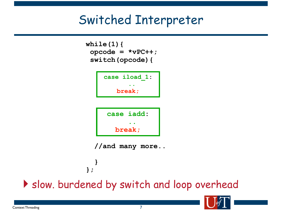#### Switched Interpreter

```
while(1){
opcode = *vPC++;
switch(opcode){
```




 **//and many more..**

 **}**

**};** Slow. burdened by switch and loop overhead

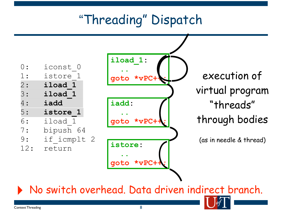## "Threading" Dispatch

| ) ∙ | iconst 0    |
|-----|-------------|
| 1 : | istore 1    |
| 2 : | iload 1     |
| 3:  | iload 1     |
| 4 : | iadd        |
| 5 : | istore 1    |
| 6:  | iload 1     |
| 7:  | bipush 64   |
| 9 : | if icmplt 2 |
| 12: | return      |
|     |             |



execution of virtual program "threads" through bodies

(as in needle & thread)

‣ No switch overhead. Data driven indirect branch.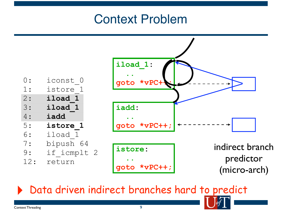#### Context Problem



‣ Data driven indirect branches hard to predict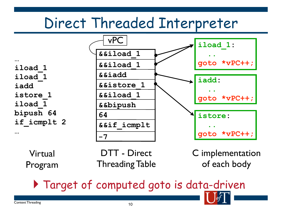## Direct Threaded Interpreter

**iload\_1 iload\_1 iadd istore\_1 iload\_1 bipush 64 if\_icmplt 2**



Virtual Program

DTT - Direct Threading Table C implementation of each body

### Target of computed goto is data-driven

**…**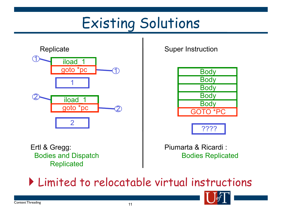# Existing Solutions







Ertl & Gregg: Bodies and Dispatch **Replicated** 

Piumarta & Ricardi : Bodies Replicated

Limited to relocatable virtual instructions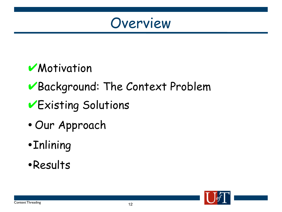

#### **Motivation**

### ✔Background: The Context Problem

- ✔Existing Solutions
- Our Approach
- •Inlining
- •Results

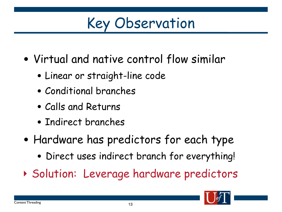Key Observation

- Virtual and native control flow similar
	- Linear or straight-line code
	- Conditional branches
	- Calls and Returns
	- Indirect branches
- Hardware has predictors for each type
	- Direct uses indirect branch for everything!
- ‣ Solution: Leverage hardware predictors

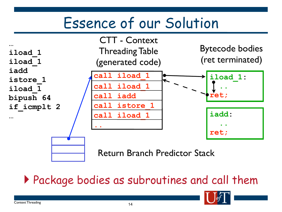## Essence of our Solution



#### Package bodies as subroutines and call them

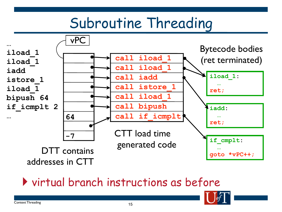## Subroutine Threading



#### virtual branch instructions as before

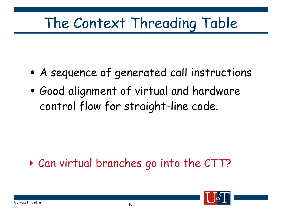# The Context Threading Table

- A sequence of generated call instructions
- Good alignment of virtual and hardware control flow for straight-line code.

### ‣ Can virtual branches go into the CTT?

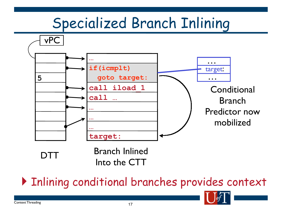# Specialized Branch Inlining



#### Inlining conditional branches provides context

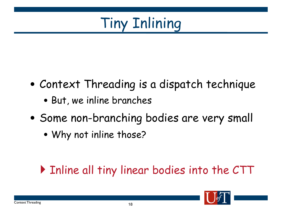

- Context Threading is a dispatch technique
	- But, we inline branches
- Some non-branching bodies are very small
	- Why not inline those?

### Inline all tiny linear bodies into the CTT

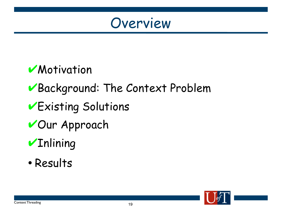

#### **Motivation**

### ✔Background: The Context Problem

- ✔Existing Solutions
- ✔Our Approach

## **VInlining**

• Results

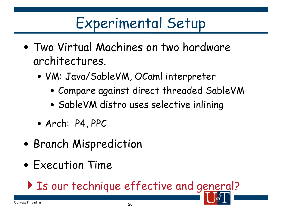# Experimental Setup

- Two Virtual Machines on two hardware architectures.
	- VM: Java/SableVM, OCaml interpreter
		- Compare against direct threaded SableVM
		- SableVM distro uses selective inlining
	- Arch: P4, PPC
- Branch Misprediction
- Execution Time

Is our technique effective and general?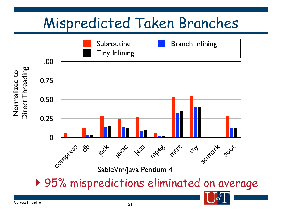# Mispredicted Taken Branches

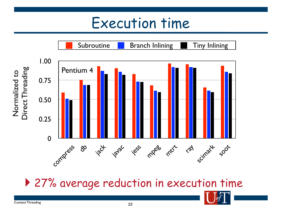## Execution time



▶ 27% average reduction in execution time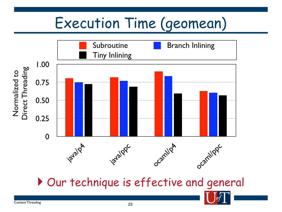# Execution Time (geomean)



Our technique is effective and general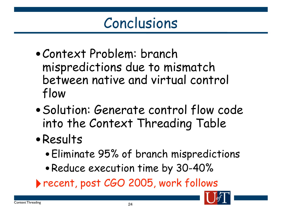## Conclusions

- •Context Problem: branch mispredictions due to mismatch between native and virtual control flow
- •Solution: Generate control flow code into the Context Threading Table
- •Results
	- •Eliminate 95% of branch mispredictions
	- •Reduce execution time by 30-40%
- ‣recent, post CGO 2005, work follows